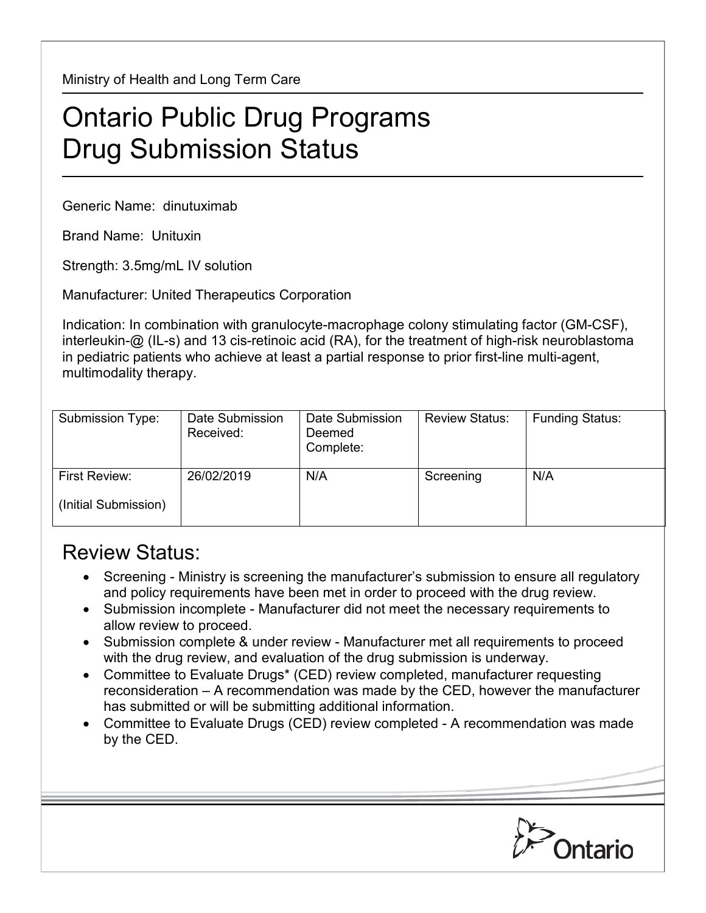Ministry of Health and Long Term Care

## Ontario Public Drug Programs Drug Submission Status

Generic Name: dinutuximab

Brand Name: Unituxin

Strength: 3.5mg/mL IV solution

Manufacturer: United Therapeutics Corporation

Indication: In combination with granulocyte-macrophage colony stimulating factor (GM-CSF), interleukin-@ (IL-s) and 13 cis-retinoic acid (RA), for the treatment of high-risk neuroblastoma in pediatric patients who achieve at least a partial response to prior first-line multi-agent, multimodality therapy.

| Submission Type:     | Date Submission<br>Received: | Date Submission<br>Deemed<br>Complete: | <b>Review Status:</b> | <b>Funding Status:</b> |
|----------------------|------------------------------|----------------------------------------|-----------------------|------------------------|
| First Review:        | 26/02/2019                   | N/A                                    | Screening             | N/A                    |
| (Initial Submission) |                              |                                        |                       |                        |

## Review Status:

- Screening Ministry is screening the manufacturer's submission to ensure all regulatory and policy requirements have been met in order to proceed with the drug review.
- Submission incomplete Manufacturer did not meet the necessary requirements to allow review to proceed.
- Submission complete & under review Manufacturer met all requirements to proceed with the drug review, and evaluation of the drug submission is underway.
- Committee to Evaluate Drugs\* (CED) review completed, manufacturer requesting reconsideration – A recommendation was made by the CED, however the manufacturer has submitted or will be submitting additional information.
- Committee to Evaluate Drugs (CED) review completed A recommendation was made by the CED.